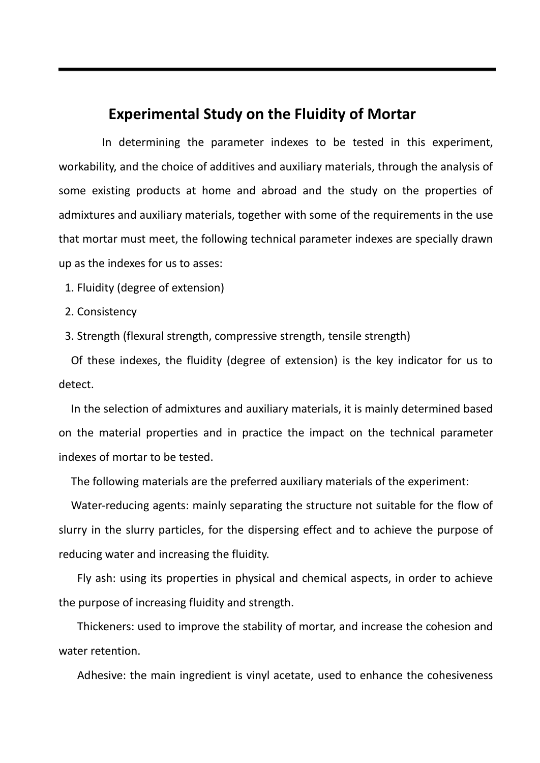# **Experimental Study on the Fluidity of Mortar**

 In determining the parameter indexes to be tested in this experiment, workability, and the choice of additives and auxiliary materials, through the analysis of some existing products at home and abroad and the study on the properties of admixtures and auxiliary materials, together with some of the requirements in the use that mortar must meet, the following technical parameter indexes are specially drawn up as the indexes for us to asses:

1. Fluidity (degree of extension)

2. Consistency

3. Strength (flexural strength, compressive strength, tensile strength)

 Of these indexes, the fluidity (degree of extension) is the key indicator for us to detect.

 In the selection of admixtures and auxiliary materials, it is mainly determined based on the material properties and in practice the impact on the technical parameter indexes of mortar to be tested.

The following materials are the preferred auxiliary materials of the experiment:

 Water-reducing agents: mainly separating the structure not suitable for the flow of slurry in the slurry particles, for the dispersing effect and to achieve the purpose of reducing water and increasing the fluidity.

 Fly ash: using its properties in physical and chemical aspects, in order to achieve the purpose of increasing fluidity and strength.

 Thickeners: used to improve the stability of mortar, and increase the cohesion and water retention.

Adhesive: the main ingredient is vinyl acetate, used to enhance the cohesiveness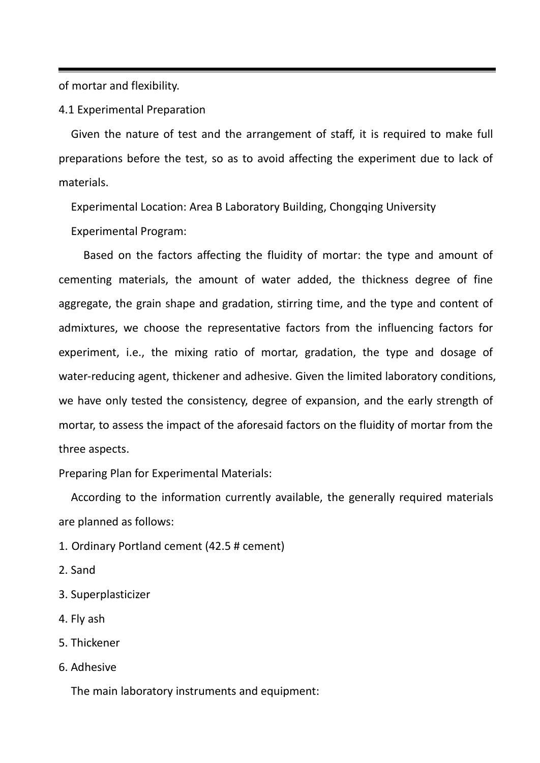of mortar and flexibility.

4.1 Experimental Preparation

 Given the nature of test and the arrangement of staff, it is required to make full preparations before the test, so as to avoid affecting the experiment due to lack of materials.

Experimental Location: Area B Laboratory Building, Chongqing University

Experimental Program:

Based on the factors affecting the fluidity of mortar: the type and amount of cementing materials, the amount of water added, the thickness degree of fine aggregate, the grain shape and gradation, stirring time, and the type and content of admixtures, we choose the representative factors from the influencing factors for experiment, i.e., the mixing ratio of mortar, gradation, the type and dosage of water-reducing agent, thickener and adhesive. Given the limited laboratory conditions, we have only tested the consistency, degree of expansion, and the early strength of mortar, to assess the impact of the aforesaid factors on the fluidity of mortar from the three aspects.

Preparing Plan for Experimental Materials:

 According to the information currently available, the generally required materials are planned as follows:

- 1. Ordinary Portland cement (42.5 # cement)
- 2. Sand
- 3. Superplasticizer
- 4. Fly ash
- 5. Thickener
- 6. Adhesive

The main laboratory instruments and equipment: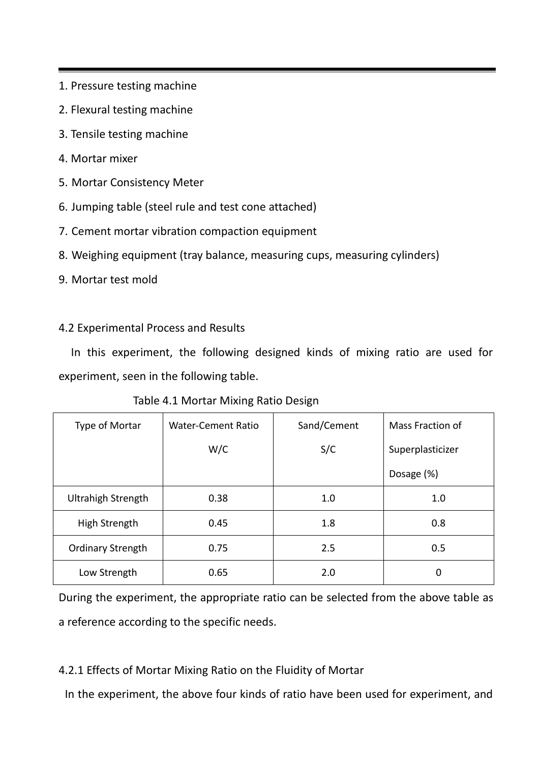- 1. Pressure testing machine
- 2. Flexural testing machine
- 3. Tensile testing machine
- 4. Mortar mixer
- 5. Mortar Consistency Meter
- 6. Jumping table (steel rule and test cone attached)
- 7. Cement mortar vibration compaction equipment
- 8. Weighing equipment (tray balance, measuring cups, measuring cylinders)
- 9. Mortar test mold

# 4.2 Experimental Process and Results

 In this experiment, the following designed kinds of mixing ratio are used for experiment, seen in the following table.

Table 4.1 Mortar Mixing Ratio Design

| Type of Mortar            | Water-Cement Ratio | Sand/Cement | Mass Fraction of |
|---------------------------|--------------------|-------------|------------------|
|                           | W/C                | S/C         | Superplasticizer |
|                           |                    |             | Dosage (%)       |
| <b>Ultrahigh Strength</b> | 0.38               | 1.0         | 1.0              |
| High Strength             | 0.45               | 1.8         | 0.8              |
| <b>Ordinary Strength</b>  | 0.75               | 2.5         | 0.5              |
| Low Strength              | 0.65               | 2.0         | 0                |

During the experiment, the appropriate ratio can be selected from the above table as a reference according to the specific needs.

4.2.1 Effects of Mortar Mixing Ratio on the Fluidity of Mortar

In the experiment, the above four kinds of ratio have been used for experiment, and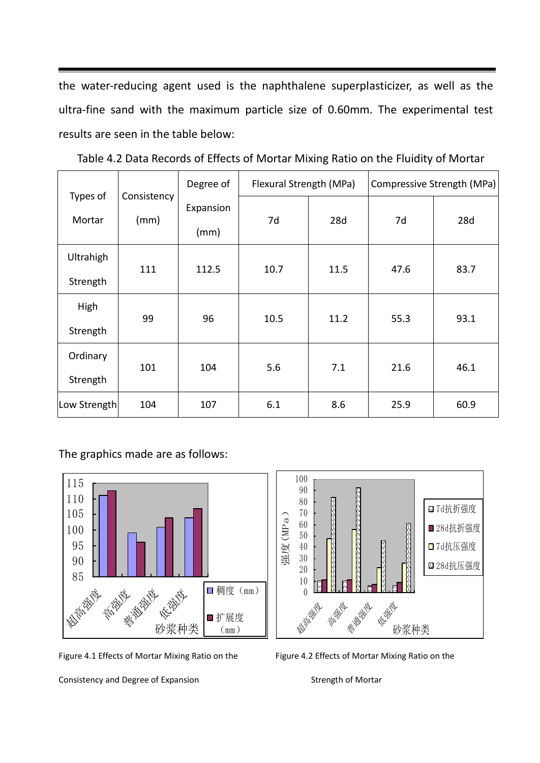the water-reducing agent used is the naphthalene superplasticizer, as well as the ultra-fine sand with the maximum particle size of 0.60mm. The experimental test results are seen in the table below:

|                       |                     | Degree of<br>Flexural Strength (MPa) |      | Compressive Strength (MPa) |      |      |
|-----------------------|---------------------|--------------------------------------|------|----------------------------|------|------|
| Types of<br>Mortar    | Consistency<br>(mm) | Expansion<br>(mm)                    | 7d   | 28d                        | 7d   | 28d  |
| Ultrahigh<br>Strength | 111                 | 112.5                                | 10.7 | 11.5                       | 47.6 | 83.7 |
| High<br>Strength      | 99                  | 96                                   | 10.5 | 11.2                       | 55.3 | 93.1 |
| Ordinary<br>Strength  | 101                 | 104                                  | 5.6  | 7.1                        | 21.6 | 46.1 |
| Low Strength          | 104                 | 107                                  | 6.1  | 8.6                        | 25.9 | 60.9 |

Table 4.2 Data Records of Effects of Mortar Mixing Ratio on the Fluidity of Mortar

The graphics made are as follows:



Figure 4.1 Effects of Mortar Mixing Ratio on the Figure 4.2 Effects of Mortar Mixing Ratio on the



Consistency and Degree of Expansion Strength of Mortar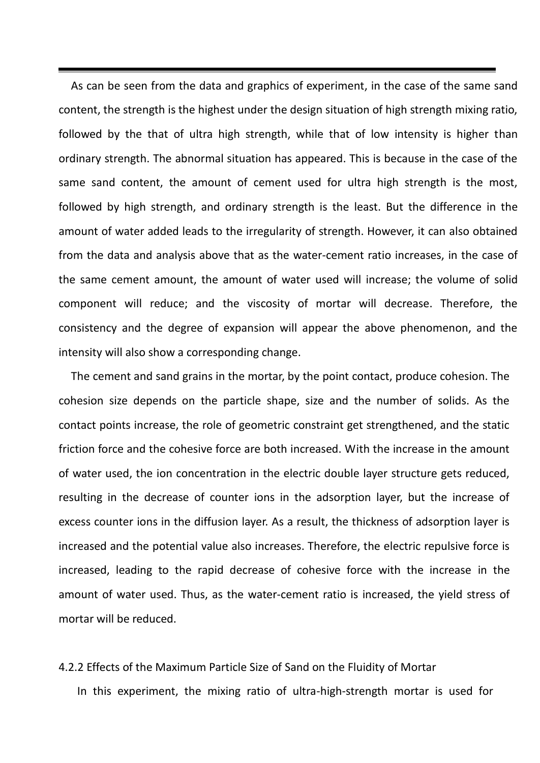As can be seen from the data and graphics of experiment, in the case of the same sand content, the strength is the highest under the design situation of high strength mixing ratio, followed by the that of ultra high strength, while that of low intensity is higher than ordinary strength. The abnormal situation has appeared. This is because in the case of the same sand content, the amount of cement used for ultra high strength is the most, followed by high strength, and ordinary strength is the least. But the difference in the amount of water added leads to the irregularity of strength. However, it can also obtained from the data and analysis above that as the water-cement ratio increases, in the case of the same cement amount, the amount of water used will increase; the volume of solid component will reduce; and the viscosity of mortar will decrease. Therefore, the consistency and the degree of expansion will appear the above phenomenon, and the intensity will also show a corresponding change.

 The cement and sand grains in the mortar, by the point contact, produce cohesion. The cohesion size depends on the particle shape, size and the number of solids. As the contact points increase, the role of geometric constraint get strengthened, and the static friction force and the cohesive force are both increased. With the increase in the amount of water used, the ion concentration in the electric double layer structure gets reduced, resulting in the decrease of counter ions in the adsorption layer, but the increase of excess counter ions in the diffusion layer. As a result, the thickness of adsorption layer is increased and the potential value also increases. Therefore, the electric repulsive force is increased, leading to the rapid decrease of cohesive force with the increase in the amount of water used. Thus, as the water-cement ratio is increased, the yield stress of mortar will be reduced.

#### 4.2.2 Effects of the Maximum Particle Size of Sand on the Fluidity of Mortar

In this experiment, the mixing ratio of ultra-high-strength mortar is used for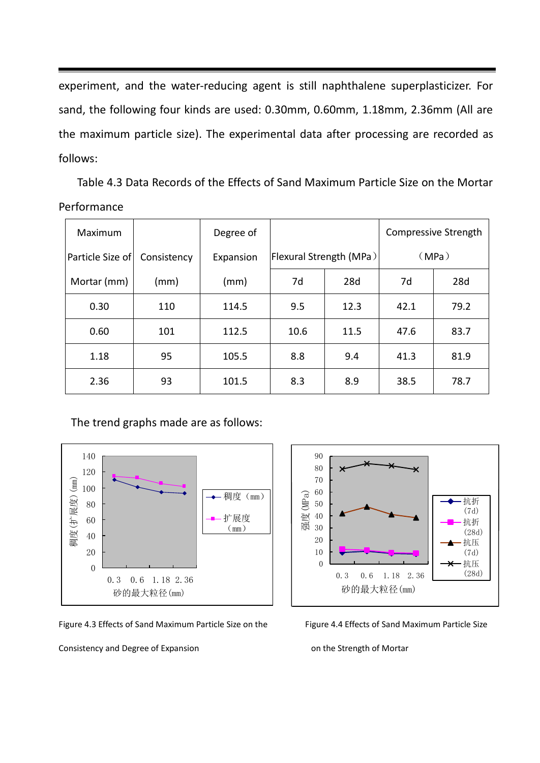experiment, and the water-reducing agent is still naphthalene superplasticizer. For sand, the following four kinds are used: 0.30mm, 0.60mm, 1.18mm, 2.36mm (All are the maximum particle size). The experimental data after processing are recorded as follows:

 Table 4.3 Data Records of the Effects of Sand Maximum Particle Size on the Mortar Performance

| Maximum          |             | Degree of |      |                         |      | Compressive Strength |
|------------------|-------------|-----------|------|-------------------------|------|----------------------|
| Particle Size of | Consistency | Expansion |      | Flexural Strength (MPa) |      | (MPa)                |
| Mortar (mm)      | (mm)        | (mm)      | 7d   | 28d                     | 7d   | 28d                  |
| 0.30             | 110         | 114.5     | 9.5  | 12.3                    | 42.1 | 79.2                 |
| 0.60             | 101         | 112.5     | 10.6 | 11.5                    | 47.6 | 83.7                 |
| 1.18             | 95          | 105.5     | 8.8  | 9.4                     | 41.3 | 81.9                 |
| 2.36             | 93          | 101.5     | 8.3  | 8.9                     | 38.5 | 78.7                 |

The trend graphs made are as follows:



Figure 4.3 Effects of Sand Maximum Particle Size on the Figure 4.4 Effects of Sand Maximum Particle Size

Consistency and Degree of Expansion **Consistency** and Degree of Expansion

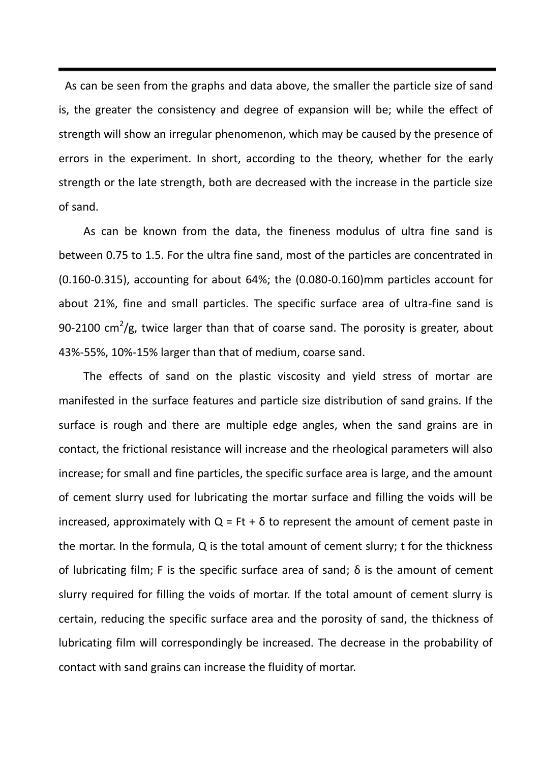As can be seen from the graphs and data above, the smaller the particle size of sand is, the greater the consistency and degree of expansion will be; while the effect of strength will show an irregular phenomenon, which may be caused by the presence of errors in the experiment. In short, according to the theory, whether for the early strength or the late strength, both are decreased with the increase in the particle size of sand.

As can be known from the data, the fineness modulus of ultra fine sand is between 0.75 to 1.5. For the ultra fine sand, most of the particles are concentrated in (0.160-0.315), accounting for about 64%; the (0.080-0.160)mm particles account for about 21%, fine and small particles. The specific surface area of ultra-fine sand is 90-2100 cm<sup>2</sup>/g, twice larger than that of coarse sand. The porosity is greater, about 43%-55%, 10%-15% larger than that of medium, coarse sand.

The effects of sand on the plastic viscosity and yield stress of mortar are manifested in the surface features and particle size distribution of sand grains. If the surface is rough and there are multiple edge angles, when the sand grains are in contact, the frictional resistance will increase and the rheological parameters will also increase; for small and fine particles, the specific surface area is large, and the amount of cement slurry used for lubricating the mortar surface and filling the voids will be increased, approximately with  $Q = Ft + \delta$  to represent the amount of cement paste in the mortar. In the formula, Q is the total amount of cement slurry; t for the thickness of lubricating film; F is the specific surface area of sand; δ is the amount of cement slurry required for filling the voids of mortar. If the total amount of cement slurry is certain, reducing the specific surface area and the porosity of sand, the thickness of lubricating film will correspondingly be increased. The decrease in the probability of contact with sand grains can increase the fluidity of mortar.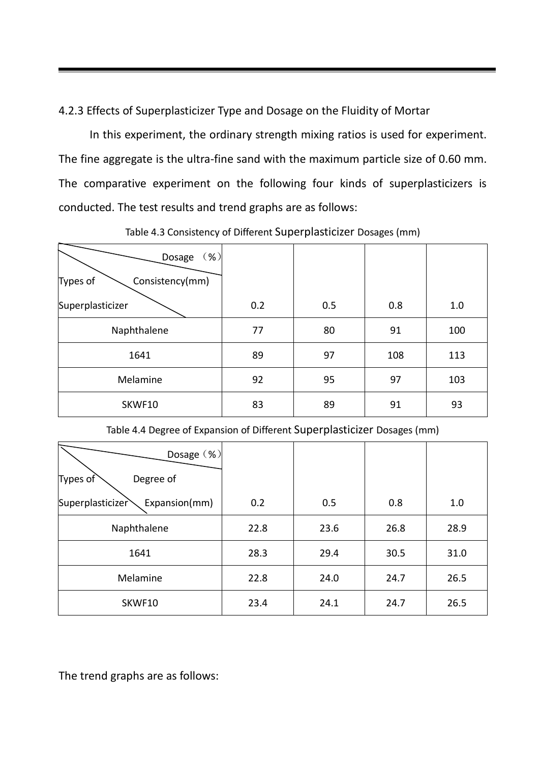4.2.3 Effects of Superplasticizer Type and Dosage on the Fluidity of Mortar

 In this experiment, the ordinary strength mixing ratios is used for experiment. The fine aggregate is the ultra-fine sand with the maximum particle size of 0.60 mm. The comparative experiment on the following four kinds of superplasticizers is conducted. The test results and trend graphs are as follows:

| $(\% )$<br>Dosage           |     |     |     |     |
|-----------------------------|-----|-----|-----|-----|
| Types of<br>Consistency(mm) |     |     |     |     |
| Superplasticizer            | 0.2 | 0.5 | 0.8 | 1.0 |
| Naphthalene                 | 77  | 80  | 91  | 100 |
| 1641                        | 89  | 97  | 108 | 113 |
| Melamine                    | 92  | 95  | 97  | 103 |
| SKWF10                      | 83  | 89  | 91  | 93  |

## Table 4.3 Consistency of Different Superplasticizer Dosages (mm)

Table 4.4 Degree of Expansion of Different Superplasticizer Dosages (mm)

| Dosage (%)                        |      |      |      |      |
|-----------------------------------|------|------|------|------|
| Types of<br>Degree of             |      |      |      |      |
| Superplasticizer<br>Expansion(mm) | 0.2  | 0.5  | 0.8  | 1.0  |
| Naphthalene                       | 22.8 | 23.6 | 26.8 | 28.9 |
| 1641                              | 28.3 | 29.4 | 30.5 | 31.0 |
| Melamine                          | 22.8 | 24.0 | 24.7 | 26.5 |
| SKWF10                            | 23.4 | 24.1 | 24.7 | 26.5 |

The trend graphs are as follows: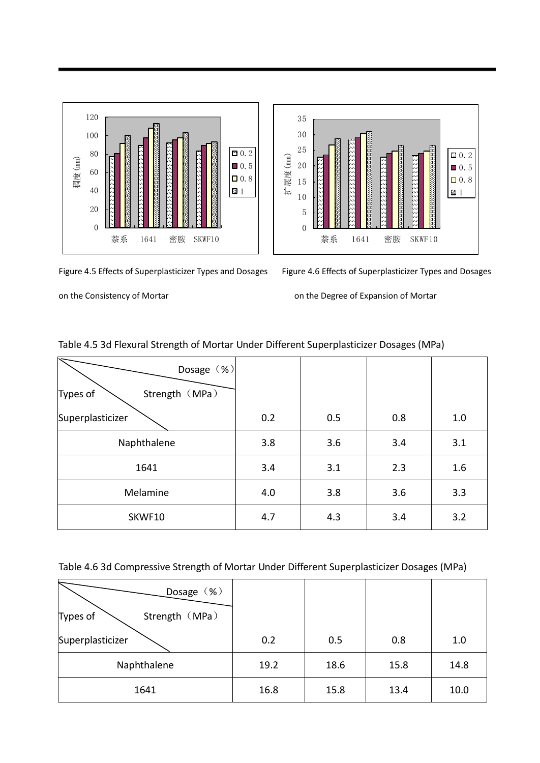



Figure 4.5 Effects of Superplasticizer Types and Dosages Figure 4.6 Effects of Superplasticizer Types and Dosages

on the Consistency of Mortar **on the Degree of Expansion of Mortar** 

| Dosage (%)<br>Strength (MPa)<br>Types of |     |     |     |     |
|------------------------------------------|-----|-----|-----|-----|
| Superplasticizer                         | 0.2 | 0.5 | 0.8 | 1.0 |
| Naphthalene                              | 3.8 | 3.6 | 3.4 | 3.1 |
| 1641                                     | 3.4 | 3.1 | 2.3 | 1.6 |
| Melamine                                 | 4.0 | 3.8 | 3.6 | 3.3 |
| SKWF10                                   | 4.7 | 4.3 | 3.4 | 3.2 |

### Table 4.5 3d Flexural Strength of Mortar Under Different Superplasticizer Dosages (MPa)

Table 4.6 3d Compressive Strength of Mortar Under Different Superplasticizer Dosages (MPa)

| Dosage (%)                 |      |      |      |      |
|----------------------------|------|------|------|------|
| Strength (MPa)<br>Types of |      |      |      |      |
| Superplasticizer           | 0.2  | 0.5  | 0.8  | 1.0  |
| Naphthalene                | 19.2 | 18.6 | 15.8 | 14.8 |
| 1641                       | 16.8 | 15.8 | 13.4 | 10.0 |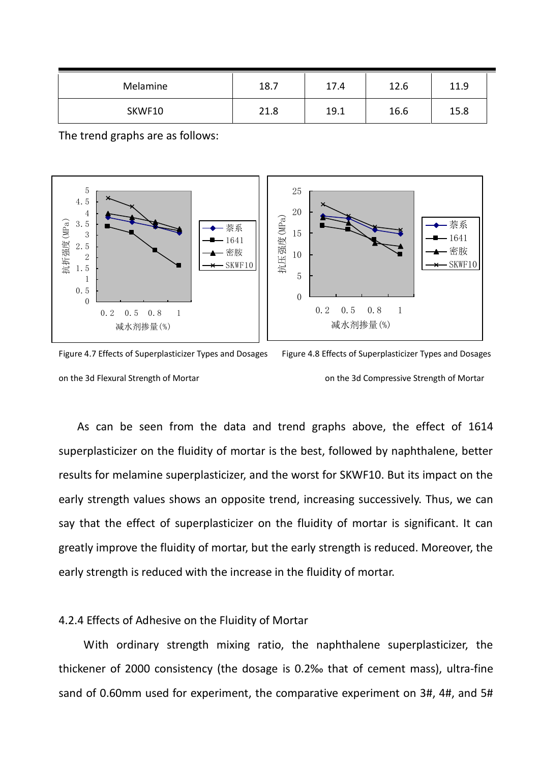| Melamine | 18.7 | 17.4 | 12.6 | 11.9 |
|----------|------|------|------|------|
| SKWF10   | 21.8 | 19.1 | 16.6 | 15.8 |

The trend graphs are as follows:



Figure 4.7 Effects of Superplasticizer Types and Dosages Figure 4.8 Effects of Superplasticizer Types and Dosages on the 3d Flexural Strength of Mortar on the 3d Compressive Strength of Mortar

 As can be seen from the data and trend graphs above, the effect of 1614 superplasticizer on the fluidity of mortar is the best, followed by naphthalene, better results for melamine superplasticizer, and the worst for SKWF10. But its impact on the early strength values shows an opposite trend, increasing successively. Thus, we can say that the effect of superplasticizer on the fluidity of mortar is significant. It can greatly improve the fluidity of mortar, but the early strength is reduced. Moreover, the early strength is reduced with the increase in the fluidity of mortar.

#### 4.2.4 Effects of Adhesive on the Fluidity of Mortar

With ordinary strength mixing ratio, the naphthalene superplasticizer, the thickener of 2000 consistency (the dosage is 0.2‰ that of cement mass), ultra-fine sand of 0.60mm used for experiment, the comparative experiment on 3#, 4#, and 5#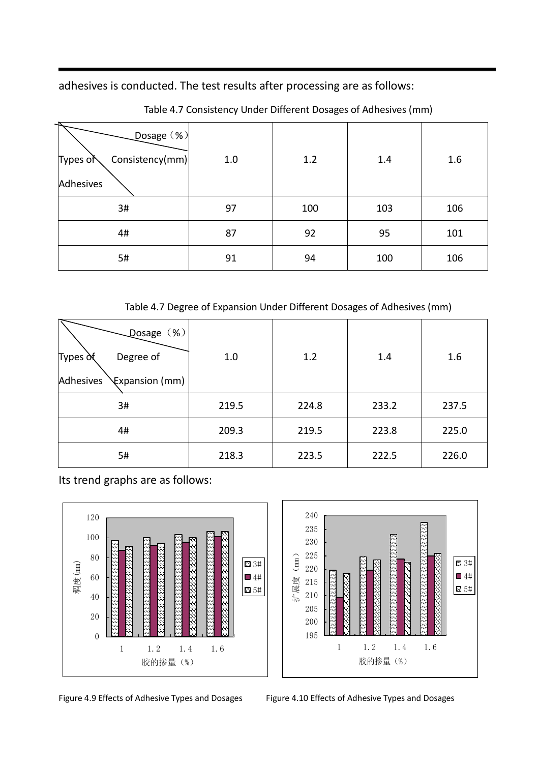adhesives is conducted. The test results after processing are as follows:

| Dosage (%)<br>Consistency(mm)<br>Types of<br>Adhesives | 1.0 | 1.2 | 1.4 | 1.6 |
|--------------------------------------------------------|-----|-----|-----|-----|
| 3#                                                     | 97  | 100 | 103 | 106 |
| 4#                                                     | 87  | 92  | 95  | 101 |
| 5#                                                     | 91  | 94  | 100 | 106 |

Table 4.7 Consistency Under Different Dosages of Adhesives (mm)

Table 4.7 Degree of Expansion Under Different Dosages of Adhesives (mm)

| Losage (%)<br>Degree of<br>Types of<br>Adhesives<br>Expansion (mm) | 1.0   | 1.2   | 1.4   | 1.6   |
|--------------------------------------------------------------------|-------|-------|-------|-------|
| 3#                                                                 | 219.5 | 224.8 | 233.2 | 237.5 |
| 4#                                                                 | 209.3 | 219.5 | 223.8 | 225.0 |
| 5#                                                                 | 218.3 | 223.5 | 222.5 | 226.0 |

Its trend graphs are as follows:



Figure 4.9 Effects of Adhesive Types and Dosages Figure 4.10 Effects of Adhesive Types and Dosages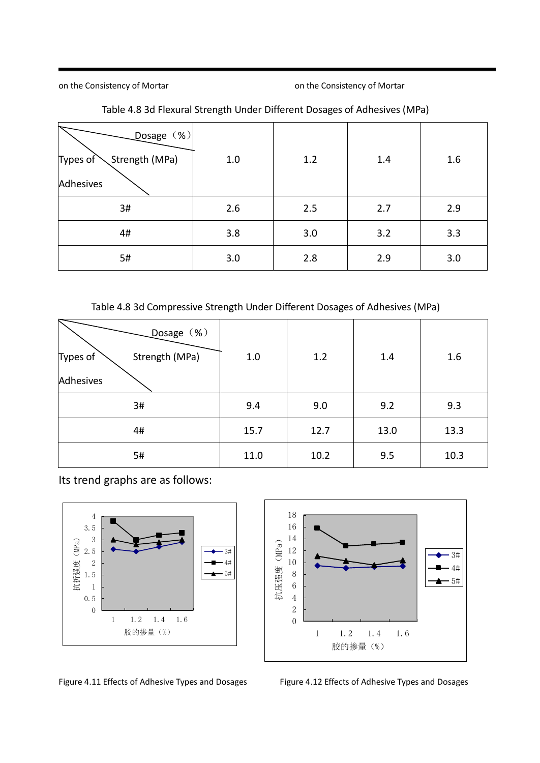on the Consistency of Mortar **on the Consistency of Mortar** on the Consistency of Mortar

| Dosage (%)<br>Strength (MPa)<br>Types of<br>Adhesives | $1.0\,$ | 1.2 | 1.4 | 1.6 |
|-------------------------------------------------------|---------|-----|-----|-----|
| 3#                                                    | 2.6     | 2.5 | 2.7 | 2.9 |
| 4#                                                    | 3.8     | 3.0 | 3.2 | 3.3 |
| 5#                                                    | 3.0     | 2.8 | 2.9 | 3.0 |

### Table 4.8 3d Flexural Strength Under Different Dosages of Adhesives (MPa)

### Table 4.8 3d Compressive Strength Under Different Dosages of Adhesives (MPa)

| Dosage (%)<br>Strength (MPa)<br>Types of | 1.0  | 1.2  | 1.4  | 1.6  |
|------------------------------------------|------|------|------|------|
| Adhesives                                |      |      |      |      |
| 3#                                       | 9.4  | 9.0  | 9.2  | 9.3  |
| 4#                                       | 15.7 | 12.7 | 13.0 | 13.3 |
| 5#                                       | 11.0 | 10.2 | 9.5  | 10.3 |

Its trend graphs are as follows:





Figure 4.11 Effects of Adhesive Types and Dosages Figure 4.12 Effects of Adhesive Types and Dosages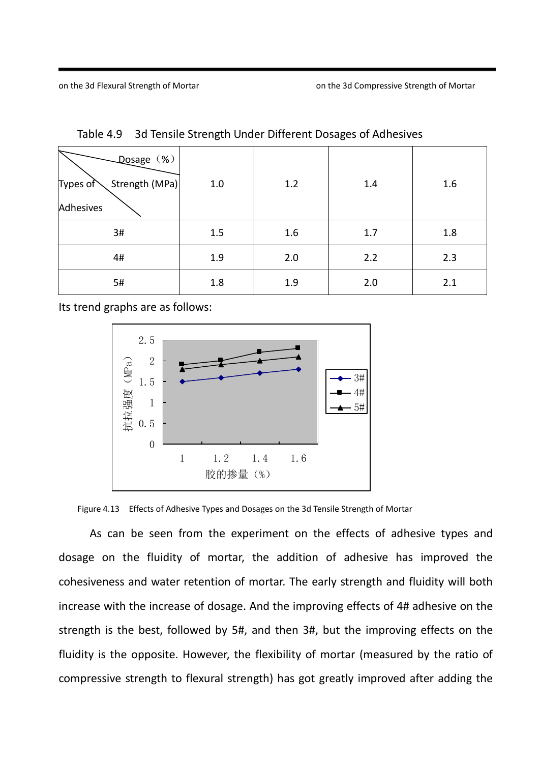| Dosage (%)<br>Strength (MPa)<br>Types of<br>Adhesives | 1.0 | 1.2 | 1.4 | 1.6 |
|-------------------------------------------------------|-----|-----|-----|-----|
| 3#                                                    | 1.5 | 1.6 | 1.7 | 1.8 |
| 4#                                                    | 1.9 | 2.0 | 2.2 | 2.3 |
| 5#                                                    | 1.8 | 1.9 | 2.0 | 2.1 |

Table 4.9 3d Tensile Strength Under Different Dosages of Adhesives

Its trend graphs are as follows:



Figure 4.13 Effects of Adhesive Types and Dosages on the 3d Tensile Strength of Mortar

 As can be seen from the experiment on the effects of adhesive types and dosage on the fluidity of mortar, the addition of adhesive has improved the cohesiveness and water retention of mortar. The early strength and fluidity will both increase with the increase of dosage. And the improving effects of 4# adhesive on the strength is the best, followed by 5#, and then 3#, but the improving effects on the fluidity is the opposite. However, the flexibility of mortar (measured by the ratio of compressive strength to flexural strength) has got greatly improved after adding the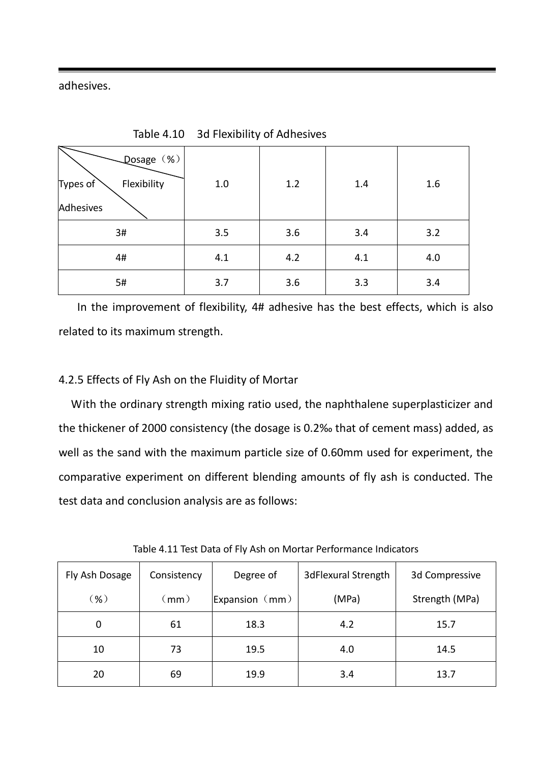adhesives.

| Qosage (%)<br>Flexibility<br>Types of<br>Adhesives | $1.0\,$ | 1.2 | 1.4 | 1.6 |
|----------------------------------------------------|---------|-----|-----|-----|
| 3#                                                 | 3.5     | 3.6 | 3.4 | 3.2 |
| 4#                                                 | 4.1     | 4.2 | 4.1 | 4.0 |
| 5#                                                 | 3.7     | 3.6 | 3.3 | 3.4 |

Table 4.10 3d Flexibility of Adhesives

 In the improvement of flexibility, 4# adhesive has the best effects, which is also related to its maximum strength.

## 4.2.5 Effects of Fly Ash on the Fluidity of Mortar

 With the ordinary strength mixing ratio used, the naphthalene superplasticizer and the thickener of 2000 consistency (the dosage is 0.2‰ that of cement mass) added, as well as the sand with the maximum particle size of 0.60mm used for experiment, the comparative experiment on different blending amounts of fly ash is conducted. The test data and conclusion analysis are as follows:

| Fly Ash Dosage | Consistency      | Degree of        | 3dFlexural Strength | 3d Compressive |
|----------------|------------------|------------------|---------------------|----------------|
| ്%)            | $\pmb{\pmod{2}}$ | Expansion $(mm)$ | (MPa)               | Strength (MPa) |
| 0              | 61               | 18.3             | 4.2                 | 15.7           |
| 10             | 73               | 19.5             | 4.0                 | 14.5           |
| 20             | 69               | 19.9             | 3.4                 | 13.7           |

Table 4.11 Test Data of Fly Ash on Mortar Performance Indicators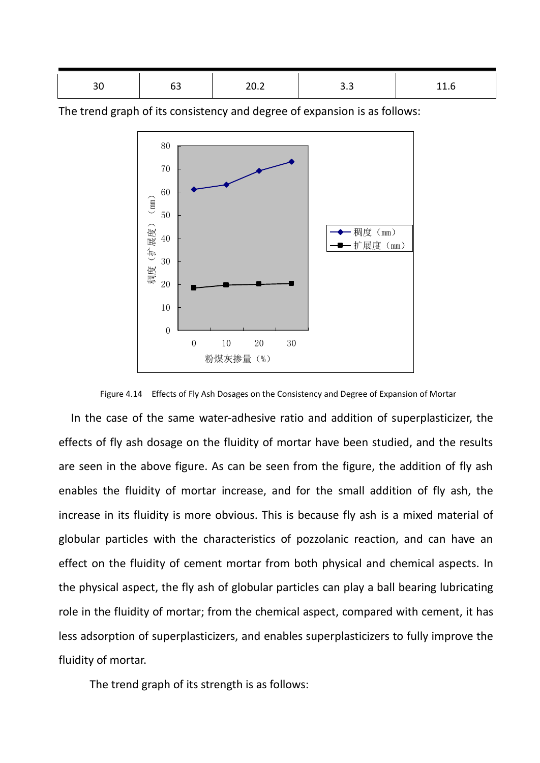| ◡ | ັັ | $\sim$ | --- | ---<br>$- - -$ |
|---|----|--------|-----|----------------|
|   |    |        |     |                |

The trend graph of its consistency and degree of expansion is as follows:



Figure 4.14 Effects of Fly Ash Dosages on the Consistency and Degree of Expansion of Mortar

 In the case of the same water-adhesive ratio and addition of superplasticizer, the effects of fly ash dosage on the fluidity of mortar have been studied, and the results are seen in the above figure. As can be seen from the figure, the addition of fly ash enables the fluidity of mortar increase, and for the small addition of fly ash, the increase in its fluidity is more obvious. This is because fly ash is a mixed material of globular particles with the characteristics of pozzolanic reaction, and can have an effect on the fluidity of cement mortar from both physical and chemical aspects. In the physical aspect, the fly ash of globular particles can play a ball bearing lubricating role in the fluidity of mortar; from the chemical aspect, compared with cement, it has less adsorption of superplasticizers, and enables superplasticizers to fully improve the fluidity of mortar.

The trend graph of its strength is as follows: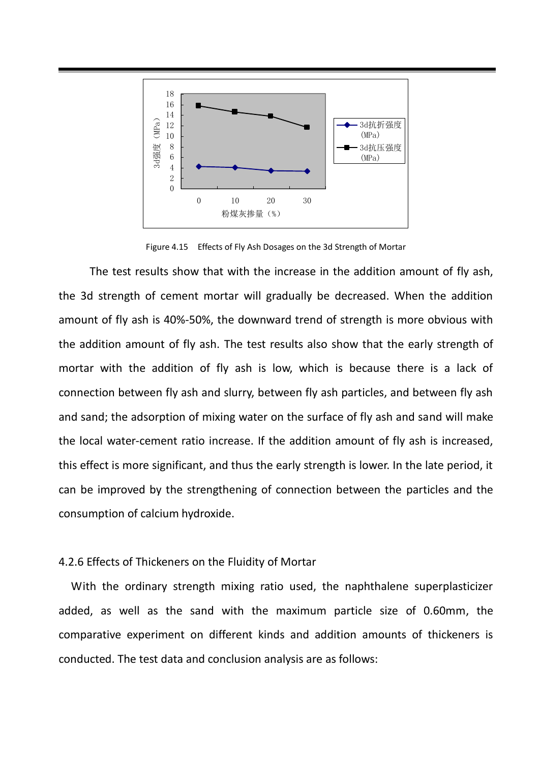

Figure 4.15 Effects of Fly Ash Dosages on the 3d Strength of Mortar

The test results show that with the increase in the addition amount of fly ash, the 3d strength of cement mortar will gradually be decreased. When the addition amount of fly ash is 40%-50%, the downward trend of strength is more obvious with the addition amount of fly ash. The test results also show that the early strength of mortar with the addition of fly ash is low, which is because there is a lack of connection between fly ash and slurry, between fly ash particles, and between fly ash and sand; the adsorption of mixing water on the surface of fly ash and sand will make the local water-cement ratio increase. If the addition amount of fly ash is increased, this effect is more significant, and thus the early strength is lower. In the late period, it can be improved by the strengthening of connection between the particles and the consumption of calcium hydroxide.

#### 4.2.6 Effects of Thickeners on the Fluidity of Mortar

 With the ordinary strength mixing ratio used, the naphthalene superplasticizer added, as well as the sand with the maximum particle size of 0.60mm, the comparative experiment on different kinds and addition amounts of thickeners is conducted. The test data and conclusion analysis are as follows: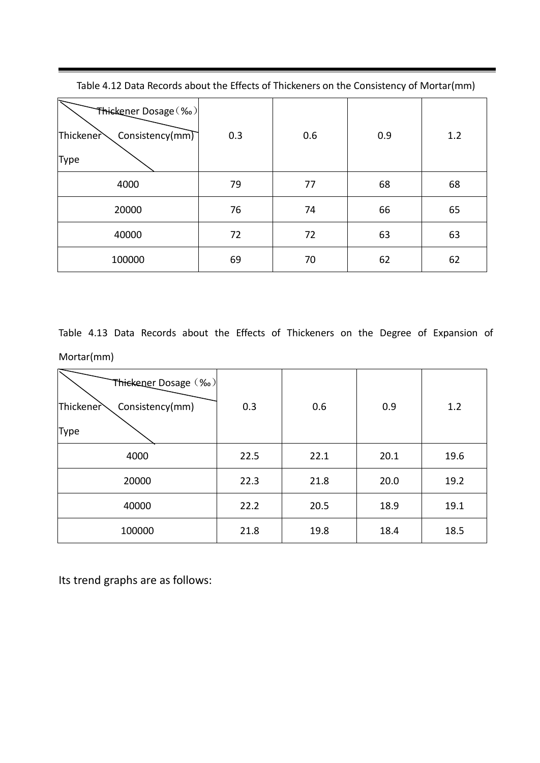| Thickener Dosage (%o)<br>Thickener<br>Consistency( $mm$ )<br>Type | 0.3 | 0.6 | 0.9 | 1.2 |
|-------------------------------------------------------------------|-----|-----|-----|-----|
| 4000                                                              | 79  | 77  | 68  | 68  |
| 20000                                                             | 76  | 74  | 66  | 65  |
| 40000                                                             | 72  | 72  | 63  | 63  |
| 100000                                                            | 69  | 70  | 62  | 62  |

Table 4.12 Data Records about the Effects of Thickeners on the Consistency of Mortar(mm)

۰

Table 4.13 Data Records about the Effects of Thickeners on the Degree of Expansion of Mortar(mm)

| Thickener Dosage (%)<br>Thickener<br>Consistency(mm) | 0.3  | 0.6  | 0.9  | 1.2  |
|------------------------------------------------------|------|------|------|------|
| Type                                                 |      |      |      |      |
| 4000                                                 | 22.5 | 22.1 | 20.1 | 19.6 |
| 20000                                                | 22.3 | 21.8 | 20.0 | 19.2 |
| 40000                                                | 22.2 | 20.5 | 18.9 | 19.1 |
| 100000                                               | 21.8 | 19.8 | 18.4 | 18.5 |

Its trend graphs are as follows: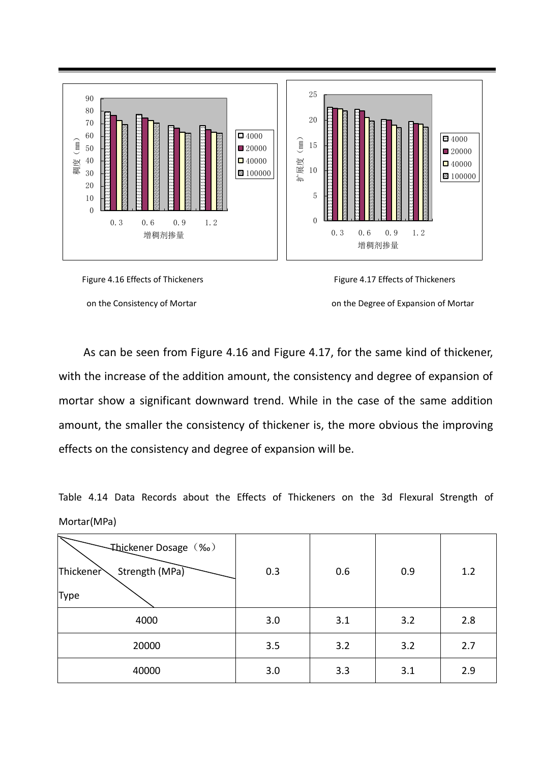

on the Consistency of Mortar **on the Degree of Expansion of Mortar** on the Degree of Expansion of Mortar

 As can be seen from Figure 4.16 and Figure 4.17, for the same kind of thickener, with the increase of the addition amount, the consistency and degree of expansion of mortar show a significant downward trend. While in the case of the same addition amount, the smaller the consistency of thickener is, the more obvious the improving effects on the consistency and degree of expansion will be.

Table 4.14 Data Records about the Effects of Thickeners on the 3d Flexural Strength of Mortar(MPa)

| Thickener Dosage (‰)<br>Strength (MPa)<br>Thickener | 0.3 | 0.6 | 0.9 | 1.2 |
|-----------------------------------------------------|-----|-----|-----|-----|
| <b>Type</b>                                         |     |     |     |     |
| 4000                                                | 3.0 | 3.1 | 3.2 | 2.8 |
| 20000                                               | 3.5 | 3.2 | 3.2 | 2.7 |
| 40000                                               | 3.0 | 3.3 | 3.1 | 2.9 |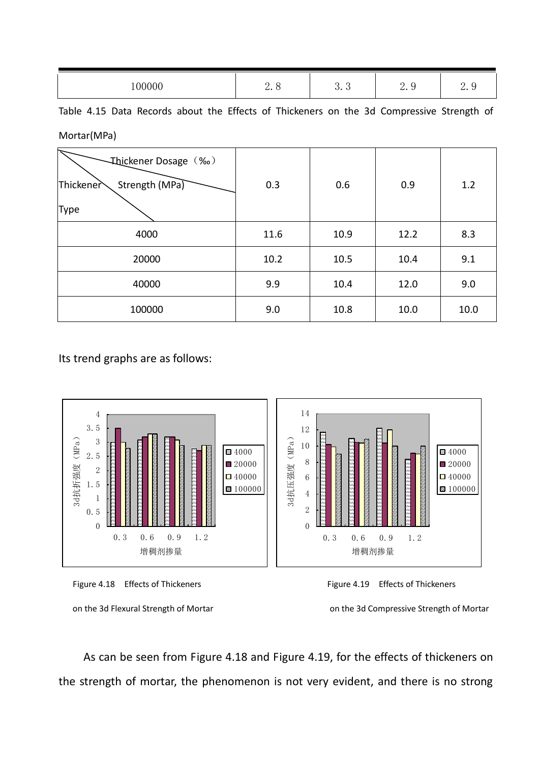| 00000<br>- | -<br>л.<br>⊶ ⊂ | $\sim$<br>$\sim$<br>ບ•ບ | $\sim$<br>ັ<br>ں م | $\sim$<br>ں مص |
|------------|----------------|-------------------------|--------------------|----------------|

Table 4.15 Data Records about the Effects of Thickeners on the 3d Compressive Strength of Mortar(MPa)

| Thickener Dosage (‰)<br>Strength (MPa)<br>Thickener<br><b>Type</b> | 0.3  | 0.6  | 0.9  | 1.2  |
|--------------------------------------------------------------------|------|------|------|------|
| 4000                                                               | 11.6 | 10.9 | 12.2 | 8.3  |
| 20000                                                              | 10.2 | 10.5 | 10.4 | 9.1  |
| 40000                                                              | 9.9  | 10.4 | 12.0 | 9.0  |
| 100000                                                             | 9.0  | 10.8 | 10.0 | 10.0 |

Its trend graphs are as follows:







on the 3d Flexural Strength of Mortar on the 3d Compressive Strength of Mortar

As can be seen from Figure 4.18 and Figure 4.19, for the effects of thickeners on the strength of mortar, the phenomenon is not very evident, and there is no strong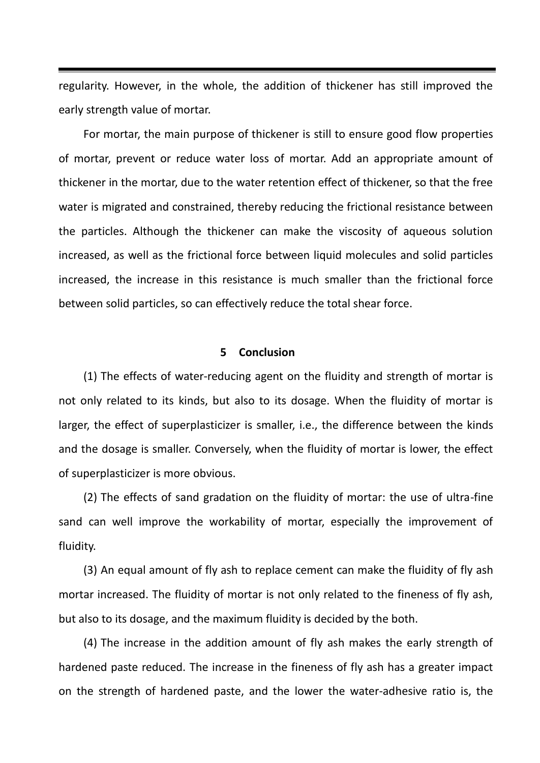regularity. However, in the whole, the addition of thickener has still improved the early strength value of mortar.

For mortar, the main purpose of thickener is still to ensure good flow properties of mortar, prevent or reduce water loss of mortar. Add an appropriate amount of thickener in the mortar, due to the water retention effect of thickener, so that the free water is migrated and constrained, thereby reducing the frictional resistance between the particles. Although the thickener can make the viscosity of aqueous solution increased, as well as the frictional force between liquid molecules and solid particles increased, the increase in this resistance is much smaller than the frictional force between solid particles, so can effectively reduce the total shear force.

### **5 Conclusion**

(1) The effects of water-reducing agent on the fluidity and strength of mortar is not only related to its kinds, but also to its dosage. When the fluidity of mortar is larger, the effect of superplasticizer is smaller, i.e., the difference between the kinds and the dosage is smaller. Conversely, when the fluidity of mortar is lower, the effect of superplasticizer is more obvious.

(2) The effects of sand gradation on the fluidity of mortar: the use of ultra-fine sand can well improve the workability of mortar, especially the improvement of fluidity.

(3) An equal amount of fly ash to replace cement can make the fluidity of fly ash mortar increased. The fluidity of mortar is not only related to the fineness of fly ash, but also to its dosage, and the maximum fluidity is decided by the both.

(4) The increase in the addition amount of fly ash makes the early strength of hardened paste reduced. The increase in the fineness of fly ash has a greater impact on the strength of hardened paste, and the lower the water-adhesive ratio is, the